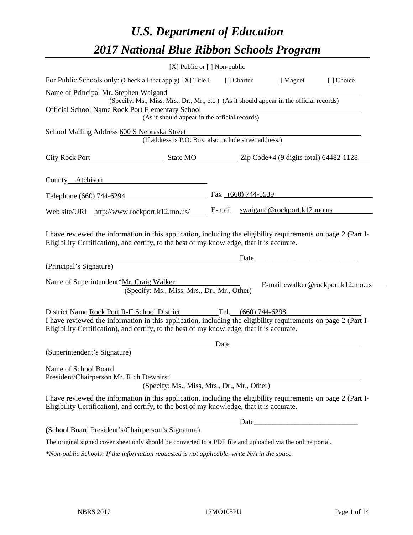# *U.S. Department of Education 2017 National Blue Ribbon Schools Program*

| [X] Public or [] Non-public                                                                                                                                                                                                                                                                                                                                                                                                                                                                      |                      |                             |                                                                                                                      |
|--------------------------------------------------------------------------------------------------------------------------------------------------------------------------------------------------------------------------------------------------------------------------------------------------------------------------------------------------------------------------------------------------------------------------------------------------------------------------------------------------|----------------------|-----------------------------|----------------------------------------------------------------------------------------------------------------------|
| For Public Schools only: (Check all that apply) [X] Title I [] Charter                                                                                                                                                                                                                                                                                                                                                                                                                           |                      | [ ] Magnet                  | [ ] Choice                                                                                                           |
| Name of Principal Mr. Stephen Waigand                                                                                                                                                                                                                                                                                                                                                                                                                                                            |                      |                             |                                                                                                                      |
| (Specify: Ms., Miss, Mrs., Dr., Mr., etc.) (As it should appear in the official records)                                                                                                                                                                                                                                                                                                                                                                                                         |                      |                             |                                                                                                                      |
| Official School Name Rock Port Elementary School<br>(As it should appear in the official records)                                                                                                                                                                                                                                                                                                                                                                                                |                      |                             |                                                                                                                      |
| School Mailing Address 600 S Nebraska Street                                                                                                                                                                                                                                                                                                                                                                                                                                                     |                      |                             |                                                                                                                      |
| (If address is P.O. Box, also include street address.)                                                                                                                                                                                                                                                                                                                                                                                                                                           |                      |                             |                                                                                                                      |
| City Rock Port<br>$\blacksquare$ State MO $\blacksquare$ $\blacksquare$ $\blacksquare$ $\blacksquare$ $\blacksquare$ $\blacksquare$ $\blacksquare$ $\blacksquare$ $\blacksquare$ $\blacksquare$ $\blacksquare$ $\blacksquare$ $\blacksquare$ $\blacksquare$ $\blacksquare$ $\blacksquare$ $\blacksquare$ $\blacksquare$ $\blacksquare$ $\blacksquare$ $\blacksquare$ $\blacksquare$ $\blacksquare$ $\blacksquare$ $\blacksquare$ $\blacksquare$ $\blacksquare$ $\blacksquare$ $\blacksquare$ $\$ |                      |                             |                                                                                                                      |
| County Atchison                                                                                                                                                                                                                                                                                                                                                                                                                                                                                  |                      |                             |                                                                                                                      |
| Telephone (660) 744-6294                                                                                                                                                                                                                                                                                                                                                                                                                                                                         | Fax $(660)$ 744-5539 |                             |                                                                                                                      |
| Web site/URL http://www.rockport.k12.mo.us/                                                                                                                                                                                                                                                                                                                                                                                                                                                      | E-mail               | swaigand@rockport.k12.mo.us |                                                                                                                      |
| I have reviewed the information in this application, including the eligibility requirements on page 2 (Part I-<br>Eligibility Certification), and certify, to the best of my knowledge, that it is accurate.                                                                                                                                                                                                                                                                                     |                      | Date                        |                                                                                                                      |
| (Principal's Signature)                                                                                                                                                                                                                                                                                                                                                                                                                                                                          |                      |                             |                                                                                                                      |
| Name of Superintendent*Mr. Craig Walker<br>(Specify: Ms., Miss, Mrs., Dr., Mr., Other)                                                                                                                                                                                                                                                                                                                                                                                                           |                      |                             | E-mail cwalker@rockport.k12.mo.us                                                                                    |
| District Name Rock Port R-II School District Tel. (660) 744-6298                                                                                                                                                                                                                                                                                                                                                                                                                                 |                      |                             |                                                                                                                      |
| I have reviewed the information in this application, including the eligibility requirements on page 2 (Part I-<br>Eligibility Certification), and certify, to the best of my knowledge, that it is accurate.                                                                                                                                                                                                                                                                                     |                      |                             |                                                                                                                      |
|                                                                                                                                                                                                                                                                                                                                                                                                                                                                                                  | Date                 |                             |                                                                                                                      |
| (Superintendent's Signature)                                                                                                                                                                                                                                                                                                                                                                                                                                                                     |                      |                             |                                                                                                                      |
| Name of School Board<br>President/Chairperson Mr. Rich Dewhirst                                                                                                                                                                                                                                                                                                                                                                                                                                  |                      |                             |                                                                                                                      |
| (Specify: Ms., Miss, Mrs., Dr., Mr., Other)                                                                                                                                                                                                                                                                                                                                                                                                                                                      |                      |                             |                                                                                                                      |
| I have reviewed the information in this application, including the eligibility requirements on page 2 (Part I-<br>Eligibility Certification), and certify, to the best of my knowledge, that it is accurate.                                                                                                                                                                                                                                                                                     |                      |                             |                                                                                                                      |
|                                                                                                                                                                                                                                                                                                                                                                                                                                                                                                  |                      | Date_                       | <u> 1980 - Johann Barn, mars ar breithinn ar breithinn ar breithinn ar breithinn ar breithinn ar breithinn ar br</u> |
| (School Board President's/Chairperson's Signature)                                                                                                                                                                                                                                                                                                                                                                                                                                               |                      |                             |                                                                                                                      |
| The original signed cover sheet only should be converted to a PDF file and uploaded via the online portal.                                                                                                                                                                                                                                                                                                                                                                                       |                      |                             |                                                                                                                      |
| *Non-public Schools: If the information requested is not applicable, write N/A in the space.                                                                                                                                                                                                                                                                                                                                                                                                     |                      |                             |                                                                                                                      |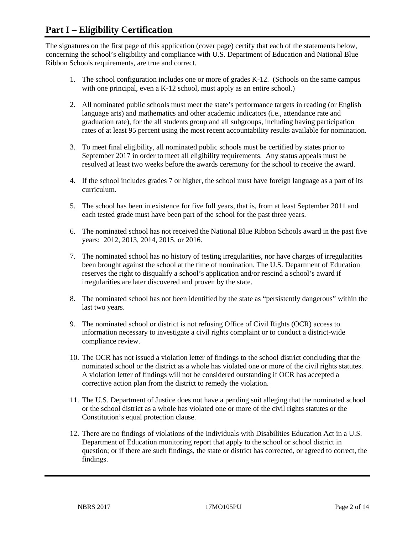# **Part I – Eligibility Certification**

The signatures on the first page of this application (cover page) certify that each of the statements below, concerning the school's eligibility and compliance with U.S. Department of Education and National Blue Ribbon Schools requirements, are true and correct.

- 1. The school configuration includes one or more of grades K-12. (Schools on the same campus with one principal, even a K-12 school, must apply as an entire school.)
- 2. All nominated public schools must meet the state's performance targets in reading (or English language arts) and mathematics and other academic indicators (i.e., attendance rate and graduation rate), for the all students group and all subgroups, including having participation rates of at least 95 percent using the most recent accountability results available for nomination.
- 3. To meet final eligibility, all nominated public schools must be certified by states prior to September 2017 in order to meet all eligibility requirements. Any status appeals must be resolved at least two weeks before the awards ceremony for the school to receive the award.
- 4. If the school includes grades 7 or higher, the school must have foreign language as a part of its curriculum.
- 5. The school has been in existence for five full years, that is, from at least September 2011 and each tested grade must have been part of the school for the past three years.
- 6. The nominated school has not received the National Blue Ribbon Schools award in the past five years: 2012, 2013, 2014, 2015, or 2016.
- 7. The nominated school has no history of testing irregularities, nor have charges of irregularities been brought against the school at the time of nomination. The U.S. Department of Education reserves the right to disqualify a school's application and/or rescind a school's award if irregularities are later discovered and proven by the state.
- 8. The nominated school has not been identified by the state as "persistently dangerous" within the last two years.
- 9. The nominated school or district is not refusing Office of Civil Rights (OCR) access to information necessary to investigate a civil rights complaint or to conduct a district-wide compliance review.
- 10. The OCR has not issued a violation letter of findings to the school district concluding that the nominated school or the district as a whole has violated one or more of the civil rights statutes. A violation letter of findings will not be considered outstanding if OCR has accepted a corrective action plan from the district to remedy the violation.
- 11. The U.S. Department of Justice does not have a pending suit alleging that the nominated school or the school district as a whole has violated one or more of the civil rights statutes or the Constitution's equal protection clause.
- 12. There are no findings of violations of the Individuals with Disabilities Education Act in a U.S. Department of Education monitoring report that apply to the school or school district in question; or if there are such findings, the state or district has corrected, or agreed to correct, the findings.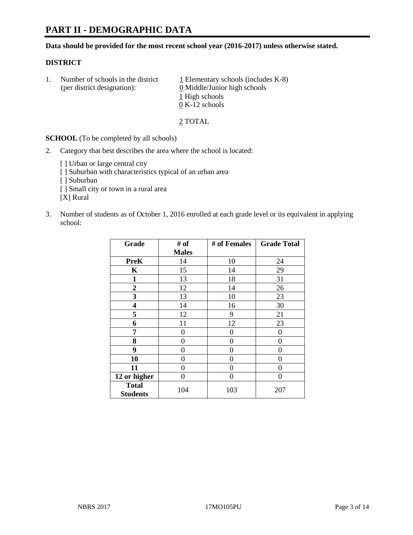# **PART II - DEMOGRAPHIC DATA**

**Data should be provided for the most recent school year (2016-2017) unless otherwise stated.** 

#### **DISTRICT**

1. Number of schools in the district  $1$  Elementary schools (includes K-8) (per district designation):  $\underline{0}$  Middle/Junior high schools 1 High schools 0 K-12 schools

2 TOTAL

**SCHOOL** (To be completed by all schools)

2. Category that best describes the area where the school is located:

[] Urban or large central city [ ] Suburban with characteristics typical of an urban area [ ] Suburban [ ] Small city or town in a rural area [X] Rural

3. Number of students as of October 1, 2016 enrolled at each grade level or its equivalent in applying school:

| Grade                           | # of         | # of Females | <b>Grade Total</b> |
|---------------------------------|--------------|--------------|--------------------|
|                                 | <b>Males</b> |              |                    |
| <b>PreK</b>                     | 14           | 10           | 24                 |
| K                               | 15           | 14           | 29                 |
| 1                               | 13           | 18           | 31                 |
| $\boldsymbol{2}$                | 12           | 14           | 26                 |
| 3                               | 13           | 10           | 23                 |
| 4                               | 14           | 16           | 30                 |
| 5                               | 12           | 9            | 21                 |
| 6                               | 11           | 12           | 23                 |
| 7                               | 0            | 0            | 0                  |
| 8                               | 0            | 0            | 0                  |
| 9                               | 0            | 0            | 0                  |
| 10                              | 0            | 0            | 0                  |
| 11                              | 0            | 0            | 0                  |
| 12 or higher                    | 0            | 0            | 0                  |
| <b>Total</b><br><b>Students</b> | 104          | 103          | 207                |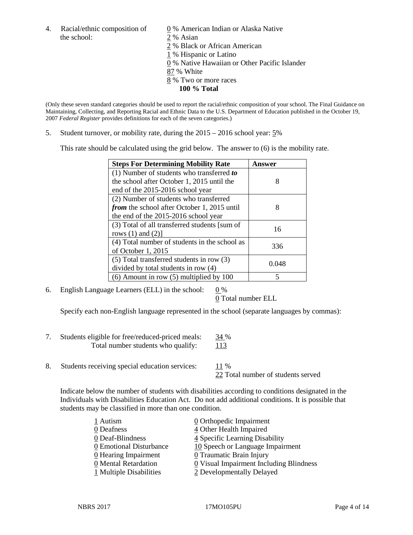the school: 2 % Asian

4. Racial/ethnic composition of  $\qquad \qquad \underline{0}$  % American Indian or Alaska Native % Black or African American % Hispanic or Latino % Native Hawaiian or Other Pacific Islander

- 87 % White
- 8 % Two or more races
	- **100 % Total**

(Only these seven standard categories should be used to report the racial/ethnic composition of your school. The Final Guidance on Maintaining, Collecting, and Reporting Racial and Ethnic Data to the U.S. Department of Education published in the October 19, 2007 *Federal Register* provides definitions for each of the seven categories.)

5. Student turnover, or mobility rate, during the 2015 – 2016 school year: 5%

This rate should be calculated using the grid below. The answer to (6) is the mobility rate.

| <b>Steps For Determining Mobility Rate</b>         | Answer |
|----------------------------------------------------|--------|
| (1) Number of students who transferred to          |        |
| the school after October 1, 2015 until the         | 8      |
| end of the 2015-2016 school year                   |        |
| (2) Number of students who transferred             |        |
| <i>from</i> the school after October 1, 2015 until | 8      |
| the end of the 2015-2016 school year               |        |
| (3) Total of all transferred students [sum of      | 16     |
| rows $(1)$ and $(2)$ ]                             |        |
| (4) Total number of students in the school as      | 336    |
| of October 1, 2015                                 |        |
| (5) Total transferred students in row (3)          |        |
| divided by total students in row (4)               | 0.048  |
| $(6)$ Amount in row $(5)$ multiplied by 100        | 5      |

6. English Language Learners (ELL) in the school:  $0\%$ 

0 Total number ELL

Specify each non-English language represented in the school (separate languages by commas):

- 7. Students eligible for free/reduced-priced meals: 34 % Total number students who qualify: 113
- 8. Students receiving special education services: 11 %

22 Total number of students served

Indicate below the number of students with disabilities according to conditions designated in the Individuals with Disabilities Education Act. Do not add additional conditions. It is possible that students may be classified in more than one condition.

| 1 Autism                | $\underline{0}$ Orthopedic Impairment   |
|-------------------------|-----------------------------------------|
| 0 Deafness              | 4 Other Health Impaired                 |
| 0 Deaf-Blindness        | 4 Specific Learning Disability          |
| 0 Emotional Disturbance | 10 Speech or Language Impairment        |
| 0 Hearing Impairment    | 0 Traumatic Brain Injury                |
| 0 Mental Retardation    | 0 Visual Impairment Including Blindness |
| 1 Multiple Disabilities | 2 Developmentally Delayed               |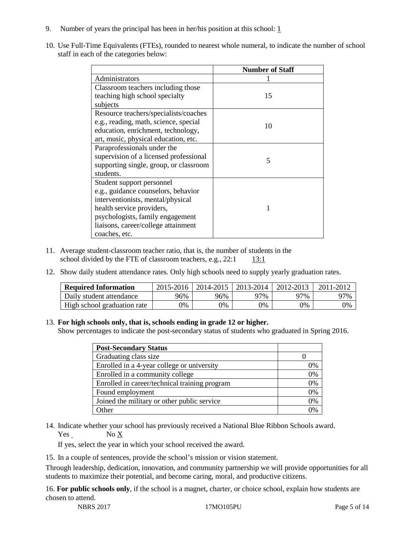- 9. Number of years the principal has been in her/his position at this school:  $1$
- 10. Use Full-Time Equivalents (FTEs), rounded to nearest whole numeral, to indicate the number of school staff in each of the categories below:

|                                        | <b>Number of Staff</b> |
|----------------------------------------|------------------------|
| Administrators                         |                        |
| Classroom teachers including those     |                        |
| teaching high school specialty         | 15                     |
| subjects                               |                        |
| Resource teachers/specialists/coaches  |                        |
| e.g., reading, math, science, special  | 10                     |
| education, enrichment, technology,     |                        |
| art, music, physical education, etc.   |                        |
| Paraprofessionals under the            |                        |
| supervision of a licensed professional | 5                      |
| supporting single, group, or classroom |                        |
| students.                              |                        |
| Student support personnel              |                        |
| e.g., guidance counselors, behavior    |                        |
| interventionists, mental/physical      |                        |
| health service providers,              |                        |
| psychologists, family engagement       |                        |
| liaisons, career/college attainment    |                        |
| coaches, etc.                          |                        |

- 11. Average student-classroom teacher ratio, that is, the number of students in the school divided by the FTE of classroom teachers, e.g.,  $22:1$  13:1
- 12. Show daily student attendance rates. Only high schools need to supply yearly graduation rates.

| <b>Required Information</b> | 2015-2016 | 2014-2015 | 2013-2014 | 2012-2013 |     |
|-----------------------------|-----------|-----------|-----------|-----------|-----|
| Daily student attendance    | 96%       | 96%       | 97%       | ን7%       | 97% |
| High school graduation rate | 0%        | 0%        | 0%        | 9%        | 0%  |

#### 13. **For high schools only, that is, schools ending in grade 12 or higher.**

Show percentages to indicate the post-secondary status of students who graduated in Spring 2016.

| <b>Post-Secondary Status</b>                  |    |
|-----------------------------------------------|----|
| Graduating class size                         |    |
| Enrolled in a 4-year college or university    | 0% |
| Enrolled in a community college               | 0% |
| Enrolled in career/technical training program | 0% |
| Found employment                              | 0% |
| Joined the military or other public service   | 0% |
| )ther                                         |    |

14. Indicate whether your school has previously received a National Blue Ribbon Schools award. Yes No X

If yes, select the year in which your school received the award.

15. In a couple of sentences, provide the school's mission or vision statement.

Through leadership, dedication, innovation, and community partnership we will provide opportunities for all students to maximize their potential, and become caring, moral, and productive citizens.

16. **For public schools only**, if the school is a magnet, charter, or choice school, explain how students are chosen to attend.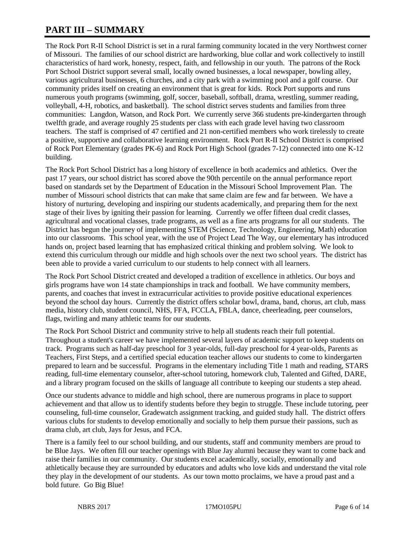# **PART III – SUMMARY**

The Rock Port R-II School District is set in a rural farming community located in the very Northwest corner of Missouri. The families of our school district are hardworking, blue collar and work collectively to instill characteristics of hard work, honesty, respect, faith, and fellowship in our youth. The patrons of the Rock Port School District support several small, locally owned businesses, a local newspaper, bowling alley, various agricultural businesses, 6 churches, and a city park with a swimming pool and a golf course. Our community prides itself on creating an environment that is great for kids. Rock Port supports and runs numerous youth programs (swimming, golf, soccer, baseball, softball, drama, wrestling, summer reading, volleyball, 4-H, robotics, and basketball). The school district serves students and families from three communities: Langdon, Watson, and Rock Port. We currently serve 366 students pre-kindergarten through twelfth grade, and average roughly 25 students per class with each grade level having two classroom teachers. The staff is comprised of 47 certified and 21 non-certified members who work tirelessly to create a positive, supportive and collaborative learning environment. Rock Port R-II School District is comprised of Rock Port Elementary (grades PK-6) and Rock Port High School (grades 7-12) connected into one K-12 building.

The Rock Port School District has a long history of excellence in both academics and athletics. Over the past 17 years, our school district has scored above the 90th percentile on the annual performance report based on standards set by the Department of Education in the Missouri School Improvement Plan. The number of Missouri school districts that can make that same claim are few and far between. We have a history of nurturing, developing and inspiring our students academically, and preparing them for the next stage of their lives by igniting their passion for learning. Currently we offer fifteen dual credit classes, agricultural and vocational classes, trade programs, as well as a fine arts programs for all our students. The District has begun the journey of implementing STEM (Science, Technology, Engineering, Math) education into our classrooms. This school year, with the use of Project Lead The Way, our elementary has introduced hands on, project based learning that has emphasized critical thinking and problem solving. We look to extend this curriculum through our middle and high schools over the next two school years. The district has been able to provide a varied curriculum to our students to help connect with all learners.

The Rock Port School District created and developed a tradition of excellence in athletics. Our boys and girls programs have won 14 state championships in track and football. We have community members, parents, and coaches that invest in extracurricular activities to provide positive educational experiences beyond the school day hours. Currently the district offers scholar bowl, drama, band, chorus, art club, mass media, history club, student council, NHS, FFA, FCCLA, FBLA, dance, cheerleading, peer counselors, flags, twirling and many athletic teams for our students.

The Rock Port School District and community strive to help all students reach their full potential. Throughout a student's career we have implemented several layers of academic support to keep students on track. Programs such as half-day preschool for 3 year-olds, full-day preschool for 4 year-olds, Parents as Teachers, First Steps, and a certified special education teacher allows our students to come to kindergarten prepared to learn and be successful. Programs in the elementary including Title 1 math and reading, STARS reading, full-time elementary counselor, after-school tutoring, homework club, Talented and Gifted, DARE, and a library program focused on the skills of language all contribute to keeping our students a step ahead.

Once our students advance to middle and high school, there are numerous programs in place to support achievement and that allow us to identify students before they begin to struggle. These include tutoring, peer counseling, full-time counselor, Gradewatch assignment tracking, and guided study hall. The district offers various clubs for students to develop emotionally and socially to help them pursue their passions, such as drama club, art club, Jays for Jesus, and FCA.

There is a family feel to our school building, and our students, staff and community members are proud to be Blue Jays. We often fill our teacher openings with Blue Jay alumni because they want to come back and raise their families in our community. Our students excel academically, socially, emotionally and athletically because they are surrounded by educators and adults who love kids and understand the vital role they play in the development of our students. As our town motto proclaims, we have a proud past and a bold future. Go Big Blue!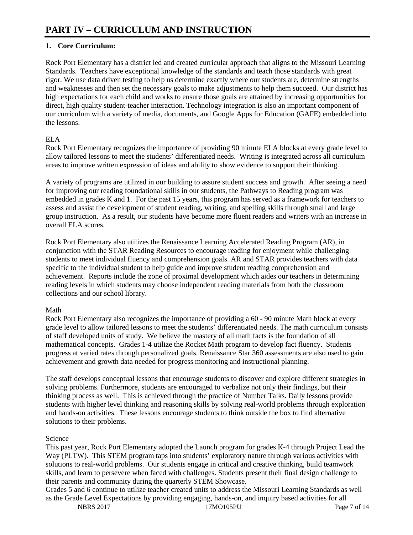# **1. Core Curriculum:**

Rock Port Elementary has a district led and created curricular approach that aligns to the Missouri Learning Standards. Teachers have exceptional knowledge of the standards and teach those standards with great rigor. We use data driven testing to help us determine exactly where our students are, determine strengths and weaknesses and then set the necessary goals to make adjustments to help them succeed. Our district has high expectations for each child and works to ensure those goals are attained by increasing opportunities for direct, high quality student-teacher interaction. Technology integration is also an important component of our curriculum with a variety of media, documents, and Google Apps for Education (GAFE) embedded into the lessons.

## ELA

Rock Port Elementary recognizes the importance of providing 90 minute ELA blocks at every grade level to allow tailored lessons to meet the students' differentiated needs. Writing is integrated across all curriculum areas to improve written expression of ideas and ability to show evidence to support their thinking.

A variety of programs are utilized in our building to assure student success and growth. After seeing a need for improving our reading foundational skills in our students, the Pathways to Reading program was embedded in grades K and 1. For the past 15 years, this program has served as a framework for teachers to assess and assist the development of student reading, writing, and spelling skills through small and large group instruction. As a result, our students have become more fluent readers and writers with an increase in overall ELA scores.

Rock Port Elementary also utilizes the Renaissance Learning Accelerated Reading Program (AR), in conjunction with the STAR Reading Resources to encourage reading for enjoyment while challenging students to meet individual fluency and comprehension goals. AR and STAR provides teachers with data specific to the individual student to help guide and improve student reading comprehension and achievement. Reports include the zone of proximal development which aides our teachers in determining reading levels in which students may choose independent reading materials from both the classroom collections and our school library.

### Math

Rock Port Elementary also recognizes the importance of providing a 60 - 90 minute Math block at every grade level to allow tailored lessons to meet the students' differentiated needs. The math curriculum consists of staff developed units of study. We believe the mastery of all math facts is the foundation of all mathematical concepts. Grades 1-4 utilize the Rocket Math program to develop fact fluency. Students progress at varied rates through personalized goals. Renaissance Star 360 assessments are also used to gain achievement and growth data needed for progress monitoring and instructional planning.

The staff develops conceptual lessons that encourage students to discover and explore different strategies in solving problems. Furthermore, students are encouraged to verbalize not only their findings, but their thinking process as well. This is achieved through the practice of Number Talks. Daily lessons provide students with higher level thinking and reasoning skills by solving real-world problems through exploration and hands-on activities. These lessons encourage students to think outside the box to find alternative solutions to their problems.

### Science

This past year, Rock Port Elementary adopted the Launch program for grades K-4 through Project Lead the Way (PLTW). This STEM program taps into students' exploratory nature through various activities with solutions to real-world problems. Our students engage in critical and creative thinking, build teamwork skills, and learn to persevere when faced with challenges. Students present their final design challenge to their parents and community during the quarterly STEM Showcase.

Grades 5 and 6 continue to utilize teacher created units to address the Missouri Learning Standards as well as the Grade Level Expectations by providing engaging, hands-on, and inquiry based activities for all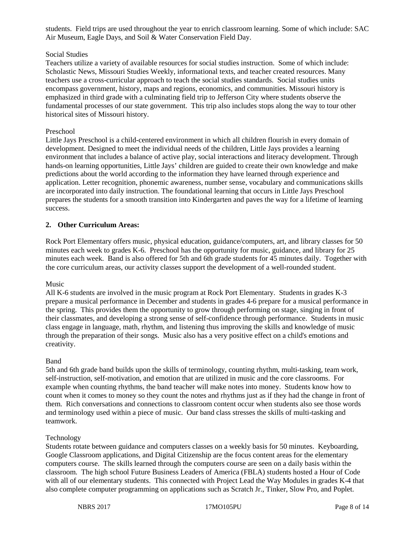students. Field trips are used throughout the year to enrich classroom learning. Some of which include: SAC Air Museum, Eagle Days, and Soil & Water Conservation Field Day.

#### Social Studies

Teachers utilize a variety of available resources for social studies instruction. Some of which include: Scholastic News, Missouri Studies Weekly, informational texts, and teacher created resources. Many teachers use a cross-curricular approach to teach the social studies standards. Social studies units encompass government, history, maps and regions, economics, and communities. Missouri history is emphasized in third grade with a culminating field trip to Jefferson City where students observe the fundamental processes of our state government. This trip also includes stops along the way to tour other historical sites of Missouri history.

#### Preschool

Little Jays Preschool is a child-centered environment in which all children flourish in every domain of development. Designed to meet the individual needs of the children, Little Jays provides a learning environment that includes a balance of active play, social interactions and literacy development. Through hands-on learning opportunities, Little Jays' children are guided to create their own knowledge and make predictions about the world according to the information they have learned through experience and application. Letter recognition, phonemic awareness, number sense, vocabulary and communications skills are incorporated into daily instruction. The foundational learning that occurs in Little Jays Preschool prepares the students for a smooth transition into Kindergarten and paves the way for a lifetime of learning success.

#### **2. Other Curriculum Areas:**

Rock Port Elementary offers music, physical education, guidance/computers, art, and library classes for 50 minutes each week to grades K-6. Preschool has the opportunity for music, guidance, and library for 25 minutes each week. Band is also offered for 5th and 6th grade students for 45 minutes daily. Together with the core curriculum areas, our activity classes support the development of a well-rounded student.

#### Music

All K-6 students are involved in the music program at Rock Port Elementary. Students in grades K-3 prepare a musical performance in December and students in grades 4-6 prepare for a musical performance in the spring. This provides them the opportunity to grow through performing on stage, singing in front of their classmates, and developing a strong sense of self-confidence through performance. Students in music class engage in language, math, rhythm, and listening thus improving the skills and knowledge of music through the preparation of their songs. Music also has a very positive effect on a child's emotions and creativity.

#### Band

5th and 6th grade band builds upon the skills of terminology, counting rhythm, multi-tasking, team work, self-instruction, self-motivation, and emotion that are utilized in music and the core classrooms. For example when counting rhythms, the band teacher will make notes into money. Students know how to count when it comes to money so they count the notes and rhythms just as if they had the change in front of them. Rich conversations and connections to classroom content occur when students also see those words and terminology used within a piece of music. Our band class stresses the skills of multi-tasking and teamwork.

#### Technology

Students rotate between guidance and computers classes on a weekly basis for 50 minutes. Keyboarding, Google Classroom applications, and Digital Citizenship are the focus content areas for the elementary computers course. The skills learned through the computers course are seen on a daily basis within the classroom. The high school Future Business Leaders of America (FBLA) students hosted a Hour of Code with all of our elementary students. This connected with Project Lead the Way Modules in grades K-4 that also complete computer programming on applications such as Scratch Jr., Tinker, Slow Pro, and Poplet.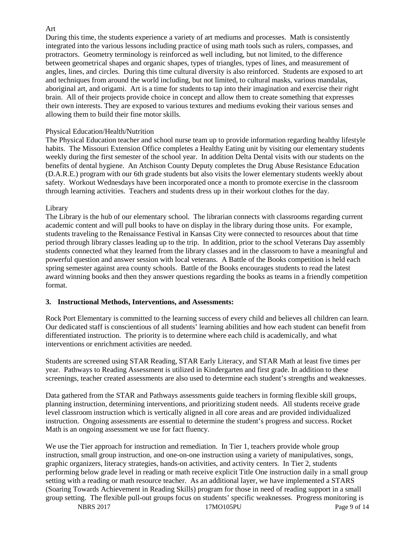#### Art

During this time, the students experience a variety of art mediums and processes. Math is consistently integrated into the various lessons including practice of using math tools such as rulers, compasses, and protractors. Geometry terminology is reinforced as well including, but not limited, to the difference between geometrical shapes and organic shapes, types of triangles, types of lines, and measurement of angles, lines, and circles. During this time cultural diversity is also reinforced. Students are exposed to art and techniques from around the world including, but not limited, to cultural masks, various mandalas, aboriginal art, and origami. Art is a time for students to tap into their imagination and exercise their right brain. All of their projects provide choice in concept and allow them to create something that expresses their own interests. They are exposed to various textures and mediums evoking their various senses and allowing them to build their fine motor skills.

#### Physical Education/Health/Nutrition

The Physical Education teacher and school nurse team up to provide information regarding healthy lifestyle habits. The Missouri Extension Office completes a Healthy Eating unit by visiting our elementary students weekly during the first semester of the school year. In addition Delta Dental visits with our students on the benefits of dental hygiene. An Atchison County Deputy completes the Drug Abuse Resistance Education (D.A.R.E.) program with our 6th grade students but also visits the lower elementary students weekly about safety. Workout Wednesdays have been incorporated once a month to promote exercise in the classroom through learning activities. Teachers and students dress up in their workout clothes for the day.

#### Library

The Library is the hub of our elementary school. The librarian connects with classrooms regarding current academic content and will pull books to have on display in the library during those units. For example, students traveling to the Renaissance Festival in Kansas City were connected to resources about that time period through library classes leading up to the trip. In addition, prior to the school Veterans Day assembly students connected what they learned from the library classes and in the classroom to have a meaningful and powerful question and answer session with local veterans. A Battle of the Books competition is held each spring semester against area county schools. Battle of the Books encourages students to read the latest award winning books and then they answer questions regarding the books as teams in a friendly competition format.

#### **3. Instructional Methods, Interventions, and Assessments:**

Rock Port Elementary is committed to the learning success of every child and believes all children can learn. Our dedicated staff is conscientious of all students' learning abilities and how each student can benefit from differentiated instruction. The priority is to determine where each child is academically, and what interventions or enrichment activities are needed.

Students are screened using STAR Reading, STAR Early Literacy, and STAR Math at least five times per year. Pathways to Reading Assessment is utilized in Kindergarten and first grade. In addition to these screenings, teacher created assessments are also used to determine each student's strengths and weaknesses.

Data gathered from the STAR and Pathways assessments guide teachers in forming flexible skill groups, planning instruction, determining interventions, and prioritizing student needs. All students receive grade level classroom instruction which is vertically aligned in all core areas and are provided individualized instruction. Ongoing assessments are essential to determine the student's progress and success. Rocket Math is an ongoing assessment we use for fact fluency.

We use the Tier approach for instruction and remediation. In Tier 1, teachers provide whole group instruction, small group instruction, and one-on-one instruction using a variety of manipulatives, songs, graphic organizers, literacy strategies, hands-on activities, and activity centers. In Tier 2, students performing below grade level in reading or math receive explicit Title One instruction daily in a small group setting with a reading or math resource teacher. As an additional layer, we have implemented a STARS (Soaring Towards Achievement in Reading Skills) program for those in need of reading support in a small group setting. The flexible pull-out groups focus on students' specific weaknesses. Progress monitoring is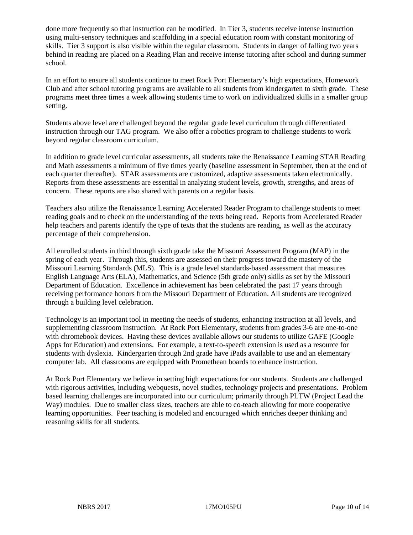done more frequently so that instruction can be modified. In Tier 3, students receive intense instruction using multi-sensory techniques and scaffolding in a special education room with constant monitoring of skills. Tier 3 support is also visible within the regular classroom. Students in danger of falling two years behind in reading are placed on a Reading Plan and receive intense tutoring after school and during summer school.

In an effort to ensure all students continue to meet Rock Port Elementary's high expectations, Homework Club and after school tutoring programs are available to all students from kindergarten to sixth grade. These programs meet three times a week allowing students time to work on individualized skills in a smaller group setting.

Students above level are challenged beyond the regular grade level curriculum through differentiated instruction through our TAG program. We also offer a robotics program to challenge students to work beyond regular classroom curriculum.

In addition to grade level curricular assessments, all students take the Renaissance Learning STAR Reading and Math assessments a minimum of five times yearly (baseline assessment in September, then at the end of each quarter thereafter). STAR assessments are customized, adaptive assessments taken electronically. Reports from these assessments are essential in analyzing student levels, growth, strengths, and areas of concern. These reports are also shared with parents on a regular basis.

Teachers also utilize the Renaissance Learning Accelerated Reader Program to challenge students to meet reading goals and to check on the understanding of the texts being read. Reports from Accelerated Reader help teachers and parents identify the type of texts that the students are reading, as well as the accuracy percentage of their comprehension.

All enrolled students in third through sixth grade take the Missouri Assessment Program (MAP) in the spring of each year. Through this, students are assessed on their progress toward the mastery of the Missouri Learning Standards (MLS). This is a grade level standards-based assessment that measures English Language Arts (ELA), Mathematics, and Science (5th grade only) skills as set by the Missouri Department of Education. Excellence in achievement has been celebrated the past 17 years through receiving performance honors from the Missouri Department of Education. All students are recognized through a building level celebration.

Technology is an important tool in meeting the needs of students, enhancing instruction at all levels, and supplementing classroom instruction. At Rock Port Elementary, students from grades 3-6 are one-to-one with chromebook devices. Having these devices available allows our students to utilize GAFE (Google Apps for Education) and extensions. For example, a text-to-speech extension is used as a resource for students with dyslexia. Kindergarten through 2nd grade have iPads available to use and an elementary computer lab. All classrooms are equipped with Promethean boards to enhance instruction.

At Rock Port Elementary we believe in setting high expectations for our students. Students are challenged with rigorous activities, including webquests, novel studies, technology projects and presentations. Problem based learning challenges are incorporated into our curriculum; primarily through PLTW (Project Lead the Way) modules. Due to smaller class sizes, teachers are able to co-teach allowing for more cooperative learning opportunities. Peer teaching is modeled and encouraged which enriches deeper thinking and reasoning skills for all students.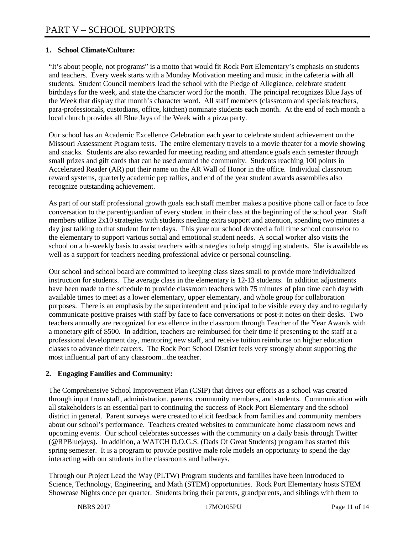### **1. School Climate/Culture:**

"It's about people, not programs" is a motto that would fit Rock Port Elementary's emphasis on students and teachers. Every week starts with a Monday Motivation meeting and music in the cafeteria with all students. Student Council members lead the school with the Pledge of Allegiance, celebrate student birthdays for the week, and state the character word for the month. The principal recognizes Blue Jays of the Week that display that month's character word. All staff members (classroom and specials teachers, para-professionals, custodians, office, kitchen) nominate students each month. At the end of each month a local church provides all Blue Jays of the Week with a pizza party.

Our school has an Academic Excellence Celebration each year to celebrate student achievement on the Missouri Assessment Program tests. The entire elementary travels to a movie theater for a movie showing and snacks. Students are also rewarded for meeting reading and attendance goals each semester through small prizes and gift cards that can be used around the community. Students reaching 100 points in Accelerated Reader (AR) put their name on the AR Wall of Honor in the office. Individual classroom reward systems, quarterly academic pep rallies, and end of the year student awards assemblies also recognize outstanding achievement.

As part of our staff professional growth goals each staff member makes a positive phone call or face to face conversation to the parent/guardian of every student in their class at the beginning of the school year. Staff members utilize 2x10 strategies with students needing extra support and attention, spending two minutes a day just talking to that student for ten days. This year our school devoted a full time school counselor to the elementary to support various social and emotional student needs. A social worker also visits the school on a bi-weekly basis to assist teachers with strategies to help struggling students. She is available as well as a support for teachers needing professional advice or personal counseling.

Our school and school board are committed to keeping class sizes small to provide more individualized instruction for students. The average class in the elementary is 12-13 students. In addition adjustments have been made to the schedule to provide classroom teachers with 75 minutes of plan time each day with available times to meet as a lower elementary, upper elementary, and whole group for collaboration purposes. There is an emphasis by the superintendent and principal to be visible every day and to regularly communicate positive praises with staff by face to face conversations or post-it notes on their desks. Two teachers annually are recognized for excellence in the classroom through Teacher of the Year Awards with a monetary gift of \$500. In addition, teachers are reimbursed for their time if presenting to the staff at a professional development day, mentoring new staff, and receive tuition reimburse on higher education classes to advance their careers. The Rock Port School District feels very strongly about supporting the most influential part of any classroom...the teacher.

### **2. Engaging Families and Community:**

The Comprehensive School Improvement Plan (CSIP) that drives our efforts as a school was created through input from staff, administration, parents, community members, and students. Communication with all stakeholders is an essential part to continuing the success of Rock Port Elementary and the school district in general. Parent surveys were created to elicit feedback from families and community members about our school's performance. Teachers created websites to communicate home classroom news and upcoming events. Our school celebrates successes with the community on a daily basis through Twitter (@RPBluejays). In addition, a WATCH D.O.G.S. (Dads Of Great Students) program has started this spring semester. It is a program to provide positive male role models an opportunity to spend the day interacting with our students in the classrooms and hallways.

Through our Project Lead the Way (PLTW) Program students and families have been introduced to Science, Technology, Engineering, and Math (STEM) opportunities. Rock Port Elementary hosts STEM Showcase Nights once per quarter. Students bring their parents, grandparents, and siblings with them to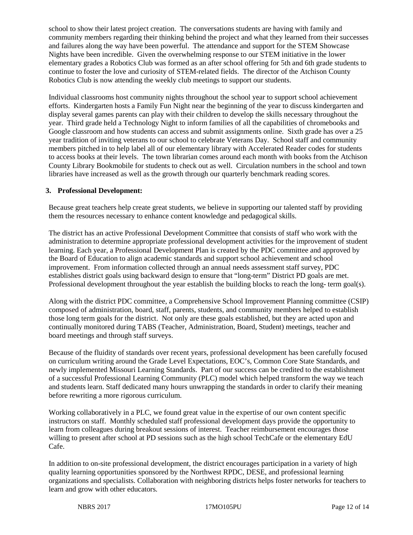school to show their latest project creation. The conversations students are having with family and community members regarding their thinking behind the project and what they learned from their successes and failures along the way have been powerful. The attendance and support for the STEM Showcase Nights have been incredible. Given the overwhelming response to our STEM initiative in the lower elementary grades a Robotics Club was formed as an after school offering for 5th and 6th grade students to continue to foster the love and curiosity of STEM-related fields. The director of the Atchison County Robotics Club is now attending the weekly club meetings to support our students.

Individual classrooms host community nights throughout the school year to support school achievement efforts. Kindergarten hosts a Family Fun Night near the beginning of the year to discuss kindergarten and display several games parents can play with their children to develop the skills necessary throughout the year. Third grade held a Technology Night to inform families of all the capabilities of chromebooks and Google classroom and how students can access and submit assignments online. Sixth grade has over a 25 year tradition of inviting veterans to our school to celebrate Veterans Day. School staff and community members pitched in to help label all of our elementary library with Accelerated Reader codes for students to access books at their levels. The town librarian comes around each month with books from the Atchison County Library Bookmobile for students to check out as well. Circulation numbers in the school and town libraries have increased as well as the growth through our quarterly benchmark reading scores.

#### **3. Professional Development:**

Because great teachers help create great students, we believe in supporting our talented staff by providing them the resources necessary to enhance content knowledge and pedagogical skills.

The district has an active Professional Development Committee that consists of staff who work with the administration to determine appropriate professional development activities for the improvement of student learning. Each year, a Professional Development Plan is created by the PDC committee and approved by the Board of Education to align academic standards and support school achievement and school improvement. From information collected through an annual needs assessment staff survey, PDC establishes district goals using backward design to ensure that "long-term" District PD goals are met. Professional development throughout the year establish the building blocks to reach the long- term goal(s).

Along with the district PDC committee, a Comprehensive School Improvement Planning committee (CSIP) composed of administration, board, staff, parents, students, and community members helped to establish those long term goals for the district. Not only are these goals established, but they are acted upon and continually monitored during TABS (Teacher, Administration, Board, Student) meetings, teacher and board meetings and through staff surveys.

Because of the fluidity of standards over recent years, professional development has been carefully focused on curriculum writing around the Grade Level Expectations, EOC's, Common Core State Standards, and newly implemented Missouri Learning Standards. Part of our success can be credited to the establishment of a successful Professional Learning Community (PLC) model which helped transform the way we teach and students learn. Staff dedicated many hours unwrapping the standards in order to clarify their meaning before rewriting a more rigorous curriculum.

Working collaboratively in a PLC, we found great value in the expertise of our own content specific instructors on staff. Monthly scheduled staff professional development days provide the opportunity to learn from colleagues during breakout sessions of interest. Teacher reimbursement encourages those willing to present after school at PD sessions such as the high school TechCafe or the elementary EdU Cafe.

In addition to on-site professional development, the district encourages participation in a variety of high quality learning opportunities sponsored by the Northwest RPDC, DESE, and professional learning organizations and specialists. Collaboration with neighboring districts helps foster networks for teachers to learn and grow with other educators.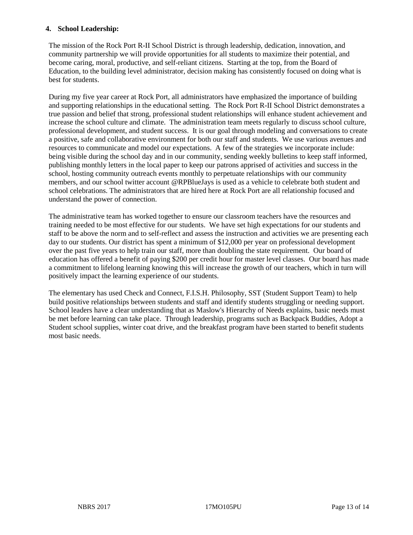#### **4. School Leadership:**

The mission of the Rock Port R-II School District is through leadership, dedication, innovation, and community partnership we will provide opportunities for all students to maximize their potential, and become caring, moral, productive, and self-reliant citizens. Starting at the top, from the Board of Education, to the building level administrator, decision making has consistently focused on doing what is best for students.

During my five year career at Rock Port, all administrators have emphasized the importance of building and supporting relationships in the educational setting. The Rock Port R-II School District demonstrates a true passion and belief that strong, professional student relationships will enhance student achievement and increase the school culture and climate. The administration team meets regularly to discuss school culture, professional development, and student success. It is our goal through modeling and conversations to create a positive, safe and collaborative environment for both our staff and students. We use various avenues and resources to communicate and model our expectations. A few of the strategies we incorporate include: being visible during the school day and in our community, sending weekly bulletins to keep staff informed, publishing monthly letters in the local paper to keep our patrons apprised of activities and success in the school, hosting community outreach events monthly to perpetuate relationships with our community members, and our school twitter account @RPBlueJays is used as a vehicle to celebrate both student and school celebrations. The administrators that are hired here at Rock Port are all relationship focused and understand the power of connection.

The administrative team has worked together to ensure our classroom teachers have the resources and training needed to be most effective for our students. We have set high expectations for our students and staff to be above the norm and to self-reflect and assess the instruction and activities we are presenting each day to our students. Our district has spent a minimum of \$12,000 per year on professional development over the past five years to help train our staff, more than doubling the state requirement. Our board of education has offered a benefit of paying \$200 per credit hour for master level classes. Our board has made a commitment to lifelong learning knowing this will increase the growth of our teachers, which in turn will positively impact the learning experience of our students.

The elementary has used Check and Connect, F.I.S.H. Philosophy, SST (Student Support Team) to help build positive relationships between students and staff and identify students struggling or needing support. School leaders have a clear understanding that as Maslow's Hierarchy of Needs explains, basic needs must be met before learning can take place. Through leadership, programs such as Backpack Buddies, Adopt a Student school supplies, winter coat drive, and the breakfast program have been started to benefit students most basic needs.